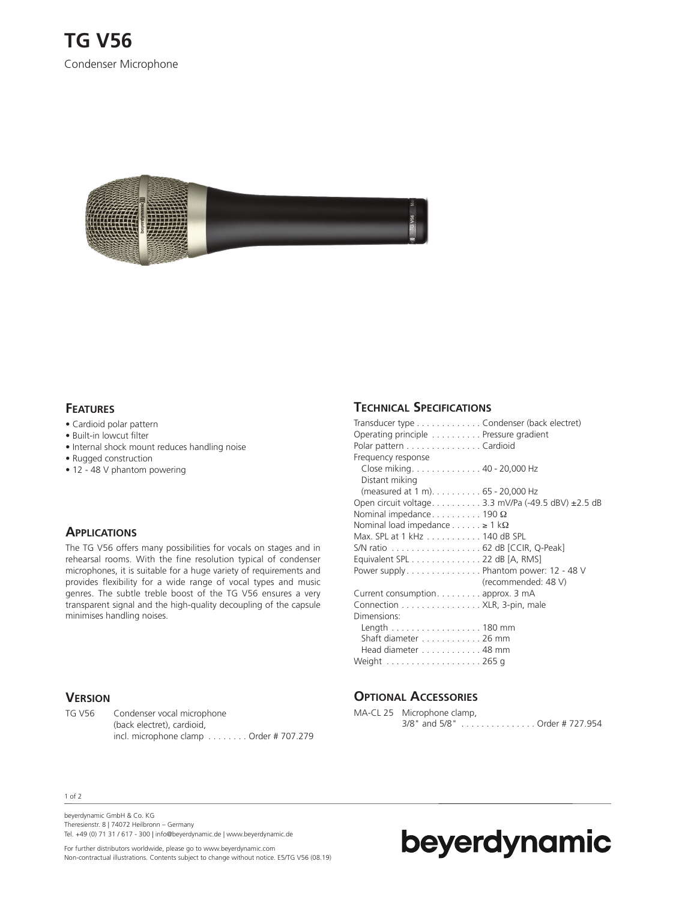

#### **FEATURES**

- Cardioid polar pattern
- Built-in lowcut filter
- Internal shock mount reduces handling noise
- Rugged construction
- 12 48 V phantom powering

### **APPLICATIONS**

The TG V56 offers many possibilities for vocals on stages and in rehearsal rooms. With the fine resolution typical of condenser microphones, it is suitable for a huge variety of requirements and provides flexibility for a wide range of vocal types and music genres. The subtle treble boost of the TG V56 ensures a very transparent signal and the high-quality decoupling of the capsule minimises handling noises.

#### **VERSION**

TG V56 Condenser vocal microphone (back electret), cardioid, incl. microphone clamp . . . . . . . . Order # 707.279

# **TECHNICAL SPECIFICATIONS**

| Transducer type Condenser (back electret)<br>Operating principle Pressure gradient |                     |
|------------------------------------------------------------------------------------|---------------------|
| Polar pattern Cardioid                                                             |                     |
| Frequency response                                                                 |                     |
| Close miking. 40 - 20,000 Hz                                                       |                     |
| Distant miking                                                                     |                     |
| (measured at 1 m). 65 - 20,000 Hz                                                  |                     |
| Open circuit voltage3.3 mV/Pa (-49.5 dBV) ±2.5 dB                                  |                     |
| Nominal impedance 190 $\Omega$                                                     |                     |
| Nominal load impedance $\geq 1$ k $\Omega$                                         |                     |
| Max. SPL at 1 kHz 140 dB SPL                                                       |                     |
| S/N ratio 62 dB [CCIR, Q-Peak]                                                     |                     |
| Equivalent SPL 22 dB [A, RMS]                                                      |                     |
| Power supply Phantom power: 12 - 48 V                                              |                     |
|                                                                                    | (recommended: 48 V) |
| Current consumption. approx. 3 mA                                                  |                     |
| Connection XLR, 3-pin, male                                                        |                     |
| Dimensions:                                                                        |                     |
| Length 180 mm                                                                      |                     |
| Shaft diameter 26 mm                                                               |                     |
| Head diameter 48 mm                                                                |                     |
|                                                                                    |                     |
|                                                                                    |                     |

### **OPTIONAL ACCESSORIES**

| MA-CL 25 Microphone clamp,    |
|-------------------------------|
| 3/8" and 5/8" Order # 727.954 |

#### 1 of 2

beyerdynamic GmbH & Co. KG Theresienstr. 8 | 74072 Heilbronn – Germany Tel. +49 (0) 71 31 / 617 - 300 | info@beyerdynamic.de | www.beyerdynamic.de

For further distributors worldwide, please go to www.beyerdynamic.com Non-contractual illustrations. Contents subject to change without notice. E5/TG V56 (08.19)

# beyerdynamic